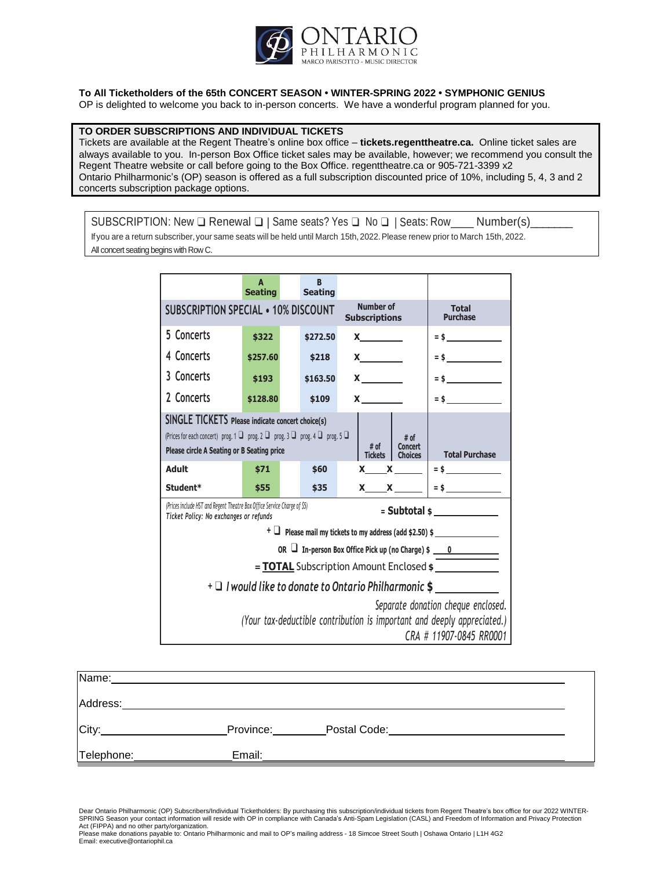

#### **To All Ticketholders of the 65th CONCERT SEASON • WINTER-SPRING 2022 • SYMPHONIC GENIUS**

OP is delighted to welcome you back to in-person concerts. We have a wonderful program planned for you.

#### **TO ORDER SUBSCRIPTIONS AND INDIVIDUAL TICKETS**

Tickets are available at the Regent Theatre's online box office – **tickets.regenttheatre.ca.** Online ticket sales are always available to you. In-person Box Office ticket sales may be available, however; we recommend you consult the Regent Theatre website or call before going to the Box Office. regenttheatre.ca or 905-721-3399 x2 Ontario Philharmonic's (OP) season is offered as a full subscription discounted price of 10%, including 5, 4, 3 and 2 concerts subscription package options.

SUBSCRIPTION: New  $\Box$  Renewal  $\Box$  | Same seats? Yes  $\Box$  No  $\Box$  | Seats: Row\_\_\_\_\_ Number(s)\_ If you are a return subscriber, your same seats will be held until March 15th, 2022. Please renew prior to March 15th, 2022. All concert seating begins with Row C.

> **A Seating B Seating SUBSCRIPTION SPECIAL • 10% DISCOUNT Number of Subscriptions Total Purchase 5 Concerts 4 Concerts 3 Concerts 2 Concerts \$322 \$257.60 \$193 \$128.80 \$272.50 \$218 \$163.50 \$109 X X X X = \$ = \$ = \$ = \$ SINGLE TICKETS Please indicate concert choice(s)** (Prices for each concert) prog. 1 ❑ prog. 2 ❑ prog. 3 ❑ prog. 4 ❑ prog. 5 ❑ **Please circle <sup>A</sup> Seating or <sup>B</sup> Seating price # of Tickets # of Concert Total Purchase Adult Student\* \$71 \$55 \$60 \$35 X X X X = \$ = \$** *(Prices include HST and Regent Theatre Box Office Service Charge of \$5)* **<sup>=</sup> Subtotal \$** *Ticket Policy: No exchanges or refunds* **<sup>+</sup>** ❑ **Please mail my tickets to my address (add \$2.50) \$ OR** ❑ **In-person Box Office Pick up (no Charge) \$ \_\_\_\_0\_\_\_\_\_\_\_\_\_\_\_\_\_ = TOTAL** Subscription Amount Enclosed **\$ <sup>+</sup>** ❑ *I would like to donate to Ontario Philharmonic* **\$** *Separate donation cheque enclosed. (Your tax-deductible contribution is important and deeply appreciated.) CRA # 11907-0845 RR0001*

| Name:      |           |              |  |
|------------|-----------|--------------|--|
| Address:   |           |              |  |
| City:      | Province: | Postal Code: |  |
| Telephone: | Email:    |              |  |

Dear Ontario Philharmonic (OP) Subscribers/Individual Ticketholders: By purchasing this subscription/individual tickets from Regent Theatre's box office for our 2022 WINTER-SPRING Season your contact information will reside with OP in compliance with Canada's Anti-Spam Legislation (CASL) and Freedom of Information and Privacy Protection Act (FIPPA) and no other party/organization.